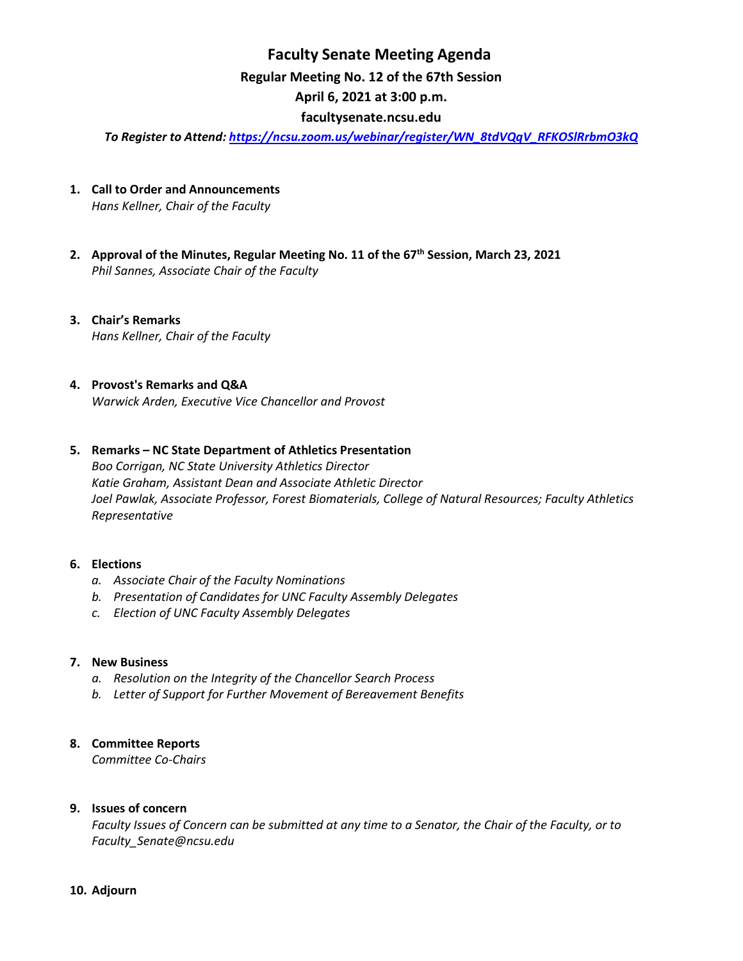# **Faculty Senate Meeting Agenda Regular Meeting No. 12 of the 67th Session April 6, 2021 at 3:00 p.m.**

### **[facultysenate.ncsu.edu](https://facultysenate.ncsu.edu/)**

*To Register to Attend: [https://ncsu.zoom.us/webinar/register/WN\\_8tdVQqV\\_RFKOSlRrbmO3kQ](https://ncsu.zoom.us/webinar/register/WN_8tdVQqV_RFKOSlRrbmO3kQ)*

- **1. Call to Order and Announcements** *Hans Kellner, Chair of the Faculty*
- **2. Approval of the Minutes, Regular Meeting No. 11 of the 67th Session, March 23, 2021** *Phil Sannes, Associate Chair of the Faculty*
- **3. Chair's Remarks** *Hans Kellner, Chair of the Faculty*
- **4. Provost's Remarks and Q&A** *Warwick Arden, Executive Vice Chancellor and Provost*

#### **5. Remarks – NC State Department of Athletics Presentation**

*Boo Corrigan, NC State University Athletics Director Katie Graham, Assistant Dean and Associate Athletic Director Joel Pawlak, Associate Professor, Forest Biomaterials, College of Natural Resources; Faculty Athletics Representative*

#### **6. Elections**

- *a. Associate Chair of the Faculty Nominations*
- *b. Presentation of Candidates for UNC Faculty Assembly Delegates*
- *c. Election of UNC Faculty Assembly Delegates*

#### **7. New Business**

- *a. Resolution on the Integrity of the Chancellor Search Process*
- *b. Letter of Support for Further Movement of Bereavement Benefits*

### **8. Committee Reports**

*Committee Co-Chairs*

## **9. Issues of concern**

*Faculty Issues of Concern can be submitted at any time to a Senator, the Chair of the Faculty, or to [Faculty\\_Senate@ncsu.edu](mailto:Faculty_Senate@ncsu.edu)*